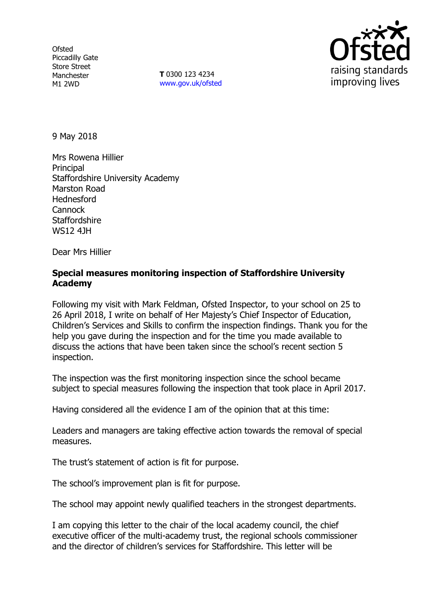**Ofsted** Piccadilly Gate Store Street Manchester M1 2WD

**T** 0300 123 4234 www.gov.uk/ofsted



9 May 2018

Mrs Rowena Hillier **Principal** Staffordshire University Academy Marston Road Hednesford **Cannock Staffordshire** WS12 4JH

Dear Mrs Hillier

# **Special measures monitoring inspection of Staffordshire University Academy**

Following my visit with Mark Feldman, Ofsted Inspector, to your school on 25 to 26 April 2018, I write on behalf of Her Majesty's Chief Inspector of Education, Children's Services and Skills to confirm the inspection findings. Thank you for the help you gave during the inspection and for the time you made available to discuss the actions that have been taken since the school's recent section 5 inspection.

The inspection was the first monitoring inspection since the school became subject to special measures following the inspection that took place in April 2017.

Having considered all the evidence I am of the opinion that at this time:

Leaders and managers are taking effective action towards the removal of special measures.

The trust's statement of action is fit for purpose.

The school's improvement plan is fit for purpose.

The school may appoint newly qualified teachers in the strongest departments.

I am copying this letter to the chair of the local academy council, the chief executive officer of the multi-academy trust, the regional schools commissioner and the director of children's services for Staffordshire. This letter will be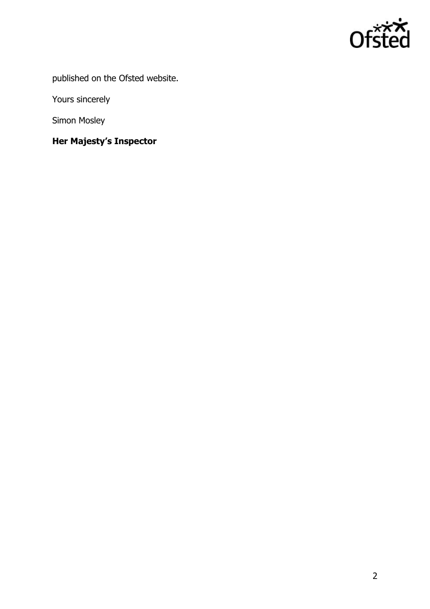

published on the Ofsted website.

Yours sincerely

Simon Mosley

# **Her Majesty's Inspector**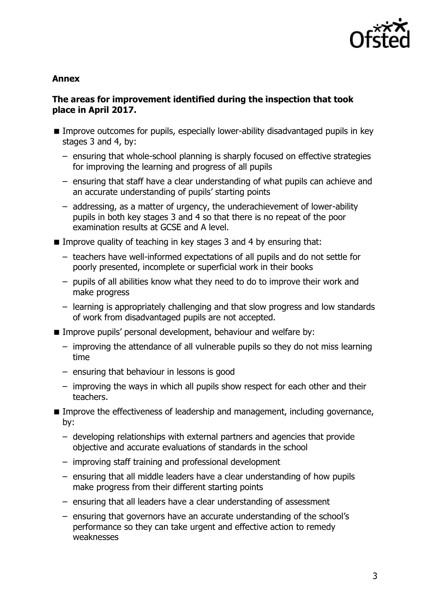

## **Annex**

# **The areas for improvement identified during the inspection that took place in April 2017.**

- **IMPROVE OUTCOMES for pupils, especially lower-ability disadvantaged pupils in key** stages 3 and 4, by:
	- ensuring that whole-school planning is sharply focused on effective strategies for improving the learning and progress of all pupils
	- ensuring that staff have a clear understanding of what pupils can achieve and an accurate understanding of pupils' starting points
	- addressing, as a matter of urgency, the underachievement of lower-ability pupils in both key stages 3 and 4 so that there is no repeat of the poor examination results at GCSE and A level.
- Improve quality of teaching in key stages 3 and 4 by ensuring that:
	- teachers have well-informed expectations of all pupils and do not settle for poorly presented, incomplete or superficial work in their books
	- pupils of all abilities know what they need to do to improve their work and make progress
	- learning is appropriately challenging and that slow progress and low standards of work from disadvantaged pupils are not accepted.
- **IMPROVE pupils' personal development, behaviour and welfare by:** 
	- improving the attendance of all vulnerable pupils so they do not miss learning time
	- ensuring that behaviour in lessons is good
	- improving the ways in which all pupils show respect for each other and their teachers.
- **IMPROVE THE EFFECTIVE EXECTS OF LEADERS** and management, including governance, by:
	- developing relationships with external partners and agencies that provide objective and accurate evaluations of standards in the school
	- improving staff training and professional development
	- ensuring that all middle leaders have a clear understanding of how pupils make progress from their different starting points
	- ensuring that all leaders have a clear understanding of assessment
	- ensuring that governors have an accurate understanding of the school's performance so they can take urgent and effective action to remedy weaknesses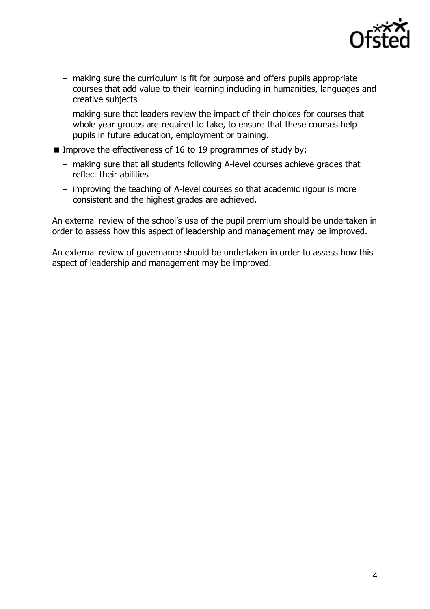

- making sure the curriculum is fit for purpose and offers pupils appropriate courses that add value to their learning including in humanities, languages and creative subjects
- making sure that leaders review the impact of their choices for courses that whole year groups are required to take, to ensure that these courses help pupils in future education, employment or training.
- **IMPROVE the effectiveness of 16 to 19 programmes of study by:** 
	- making sure that all students following A-level courses achieve grades that reflect their abilities
	- improving the teaching of A-level courses so that academic rigour is more consistent and the highest grades are achieved.

An external review of the school's use of the pupil premium should be undertaken in order to assess how this aspect of leadership and management may be improved.

An external review of governance should be undertaken in order to assess how this aspect of leadership and management may be improved.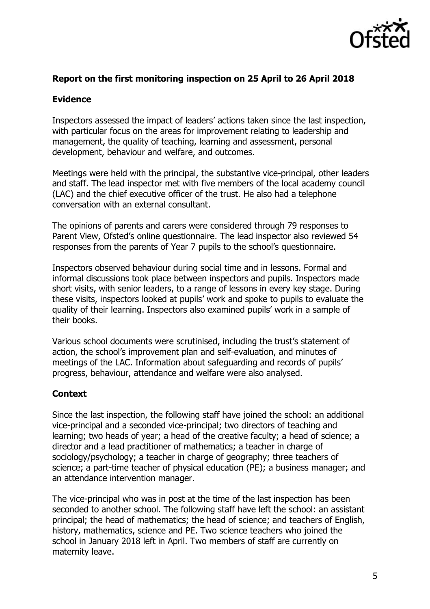

# **Report on the first monitoring inspection on 25 April to 26 April 2018**

# **Evidence**

Inspectors assessed the impact of leaders' actions taken since the last inspection, with particular focus on the areas for improvement relating to leadership and management, the quality of teaching, learning and assessment, personal development, behaviour and welfare, and outcomes.

Meetings were held with the principal, the substantive vice-principal, other leaders and staff. The lead inspector met with five members of the local academy council (LAC) and the chief executive officer of the trust. He also had a telephone conversation with an external consultant.

The opinions of parents and carers were considered through 79 responses to Parent View, Ofsted's online questionnaire. The lead inspector also reviewed 54 responses from the parents of Year 7 pupils to the school's questionnaire.

Inspectors observed behaviour during social time and in lessons. Formal and informal discussions took place between inspectors and pupils. Inspectors made short visits, with senior leaders, to a range of lessons in every key stage. During these visits, inspectors looked at pupils' work and spoke to pupils to evaluate the quality of their learning. Inspectors also examined pupils' work in a sample of their books.

Various school documents were scrutinised, including the trust's statement of action, the school's improvement plan and self-evaluation, and minutes of meetings of the LAC. Information about safeguarding and records of pupils' progress, behaviour, attendance and welfare were also analysed.

## **Context**

Since the last inspection, the following staff have joined the school: an additional vice-principal and a seconded vice-principal; two directors of teaching and learning; two heads of year; a head of the creative faculty; a head of science; a director and a lead practitioner of mathematics; a teacher in charge of sociology/psychology; a teacher in charge of geography; three teachers of science; a part-time teacher of physical education (PE); a business manager; and an attendance intervention manager.

The vice-principal who was in post at the time of the last inspection has been seconded to another school. The following staff have left the school: an assistant principal; the head of mathematics; the head of science; and teachers of English, history, mathematics, science and PE. Two science teachers who joined the school in January 2018 left in April. Two members of staff are currently on maternity leave.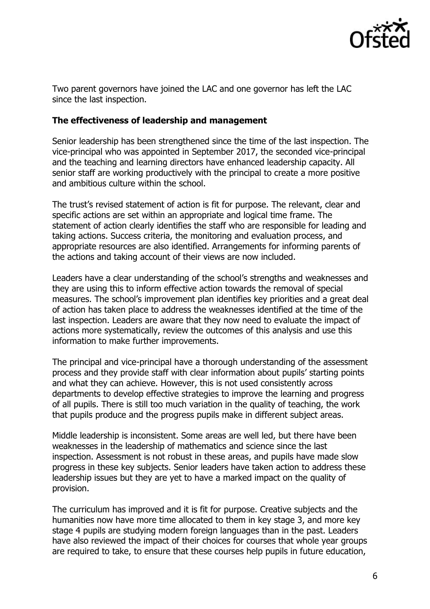

Two parent governors have joined the LAC and one governor has left the LAC since the last inspection.

## **The effectiveness of leadership and management**

Senior leadership has been strengthened since the time of the last inspection. The vice-principal who was appointed in September 2017, the seconded vice-principal and the teaching and learning directors have enhanced leadership capacity. All senior staff are working productively with the principal to create a more positive and ambitious culture within the school.

The trust's revised statement of action is fit for purpose. The relevant, clear and specific actions are set within an appropriate and logical time frame. The statement of action clearly identifies the staff who are responsible for leading and taking actions. Success criteria, the monitoring and evaluation process, and appropriate resources are also identified. Arrangements for informing parents of the actions and taking account of their views are now included.

Leaders have a clear understanding of the school's strengths and weaknesses and they are using this to inform effective action towards the removal of special measures. The school's improvement plan identifies key priorities and a great deal of action has taken place to address the weaknesses identified at the time of the last inspection. Leaders are aware that they now need to evaluate the impact of actions more systematically, review the outcomes of this analysis and use this information to make further improvements.

The principal and vice-principal have a thorough understanding of the assessment process and they provide staff with clear information about pupils' starting points and what they can achieve. However, this is not used consistently across departments to develop effective strategies to improve the learning and progress of all pupils. There is still too much variation in the quality of teaching, the work that pupils produce and the progress pupils make in different subject areas.

Middle leadership is inconsistent. Some areas are well led, but there have been weaknesses in the leadership of mathematics and science since the last inspection. Assessment is not robust in these areas, and pupils have made slow progress in these key subjects. Senior leaders have taken action to address these leadership issues but they are yet to have a marked impact on the quality of provision.

The curriculum has improved and it is fit for purpose. Creative subjects and the humanities now have more time allocated to them in key stage 3, and more key stage 4 pupils are studying modern foreign languages than in the past. Leaders have also reviewed the impact of their choices for courses that whole year groups are required to take, to ensure that these courses help pupils in future education,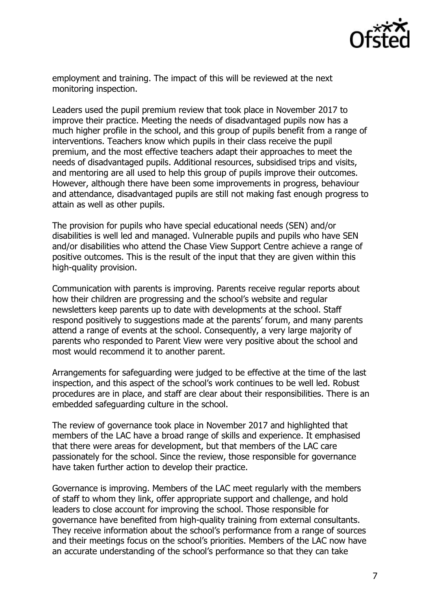

employment and training. The impact of this will be reviewed at the next monitoring inspection.

Leaders used the pupil premium review that took place in November 2017 to improve their practice. Meeting the needs of disadvantaged pupils now has a much higher profile in the school, and this group of pupils benefit from a range of interventions. Teachers know which pupils in their class receive the pupil premium, and the most effective teachers adapt their approaches to meet the needs of disadvantaged pupils. Additional resources, subsidised trips and visits, and mentoring are all used to help this group of pupils improve their outcomes. However, although there have been some improvements in progress, behaviour and attendance, disadvantaged pupils are still not making fast enough progress to attain as well as other pupils.

The provision for pupils who have special educational needs (SEN) and/or disabilities is well led and managed. Vulnerable pupils and pupils who have SEN and/or disabilities who attend the Chase View Support Centre achieve a range of positive outcomes. This is the result of the input that they are given within this high-quality provision.

Communication with parents is improving. Parents receive regular reports about how their children are progressing and the school's website and regular newsletters keep parents up to date with developments at the school. Staff respond positively to suggestions made at the parents' forum, and many parents attend a range of events at the school. Consequently, a very large majority of parents who responded to Parent View were very positive about the school and most would recommend it to another parent.

Arrangements for safeguarding were judged to be effective at the time of the last inspection, and this aspect of the school's work continues to be well led. Robust procedures are in place, and staff are clear about their responsibilities. There is an embedded safeguarding culture in the school.

The review of governance took place in November 2017 and highlighted that members of the LAC have a broad range of skills and experience. It emphasised that there were areas for development, but that members of the LAC care passionately for the school. Since the review, those responsible for governance have taken further action to develop their practice.

Governance is improving. Members of the LAC meet regularly with the members of staff to whom they link, offer appropriate support and challenge, and hold leaders to close account for improving the school. Those responsible for governance have benefited from high-quality training from external consultants. They receive information about the school's performance from a range of sources and their meetings focus on the school's priorities. Members of the LAC now have an accurate understanding of the school's performance so that they can take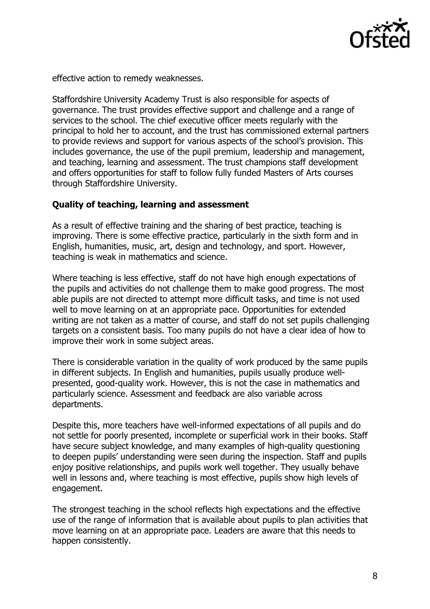

effective action to remedy weaknesses.

Staffordshire University Academy Trust is also responsible for aspects of governance. The trust provides effective support and challenge and a range of services to the school. The chief executive officer meets regularly with the principal to hold her to account, and the trust has commissioned external partners to provide reviews and support for various aspects of the school's provision. This includes governance, the use of the pupil premium, leadership and management, and teaching, learning and assessment. The trust champions staff development and offers opportunities for staff to follow fully funded Masters of Arts courses through Staffordshire University.

#### **Quality of teaching, learning and assessment**

As a result of effective training and the sharing of best practice, teaching is improving. There is some effective practice, particularly in the sixth form and in English, humanities, music, art, design and technology, and sport. However, teaching is weak in mathematics and science.

Where teaching is less effective, staff do not have high enough expectations of the pupils and activities do not challenge them to make good progress. The most able pupils are not directed to attempt more difficult tasks, and time is not used well to move learning on at an appropriate pace. Opportunities for extended writing are not taken as a matter of course, and staff do not set pupils challenging targets on a consistent basis. Too many pupils do not have a clear idea of how to improve their work in some subject areas.

There is considerable variation in the quality of work produced by the same pupils in different subjects. In English and humanities, pupils usually produce wellpresented, good-quality work. However, this is not the case in mathematics and particularly science. Assessment and feedback are also variable across departments.

Despite this, more teachers have well-informed expectations of all pupils and do not settle for poorly presented, incomplete or superficial work in their books. Staff have secure subject knowledge, and many examples of high-quality questioning to deepen pupils' understanding were seen during the inspection. Staff and pupils enjoy positive relationships, and pupils work well together. They usually behave well in lessons and, where teaching is most effective, pupils show high levels of engagement.

The strongest teaching in the school reflects high expectations and the effective use of the range of information that is available about pupils to plan activities that move learning on at an appropriate pace. Leaders are aware that this needs to happen consistently.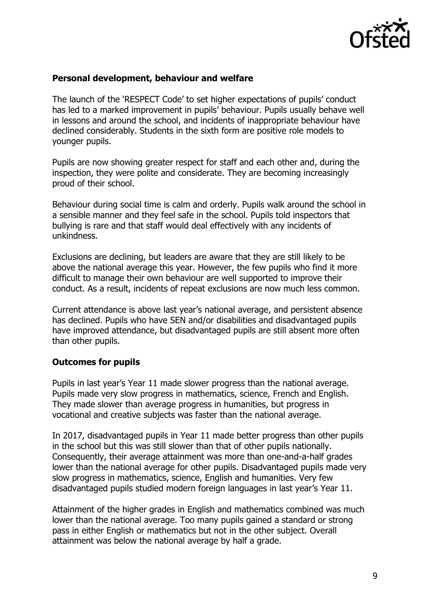

#### **Personal development, behaviour and welfare**

The launch of the 'RESPECT Code' to set higher expectations of pupils' conduct has led to a marked improvement in pupils' behaviour. Pupils usually behave well in lessons and around the school, and incidents of inappropriate behaviour have declined considerably. Students in the sixth form are positive role models to younger pupils.

Pupils are now showing greater respect for staff and each other and, during the inspection, they were polite and considerate. They are becoming increasingly proud of their school.

Behaviour during social time is calm and orderly. Pupils walk around the school in a sensible manner and they feel safe in the school. Pupils told inspectors that bullying is rare and that staff would deal effectively with any incidents of unkindness.

Exclusions are declining, but leaders are aware that they are still likely to be above the national average this year. However, the few pupils who find it more difficult to manage their own behaviour are well supported to improve their conduct. As a result, incidents of repeat exclusions are now much less common.

Current attendance is above last year's national average, and persistent absence has declined. Pupils who have SEN and/or disabilities and disadvantaged pupils have improved attendance, but disadvantaged pupils are still absent more often than other pupils.

## **Outcomes for pupils**

Pupils in last year's Year 11 made slower progress than the national average. Pupils made very slow progress in mathematics, science, French and English. They made slower than average progress in humanities, but progress in vocational and creative subjects was faster than the national average.

In 2017, disadvantaged pupils in Year 11 made better progress than other pupils in the school but this was still slower than that of other pupils nationally. Consequently, their average attainment was more than one-and-a-half grades lower than the national average for other pupils. Disadvantaged pupils made very slow progress in mathematics, science, English and humanities. Very few disadvantaged pupils studied modern foreign languages in last year's Year 11.

Attainment of the higher grades in English and mathematics combined was much lower than the national average. Too many pupils gained a standard or strong pass in either English or mathematics but not in the other subject. Overall attainment was below the national average by half a grade.